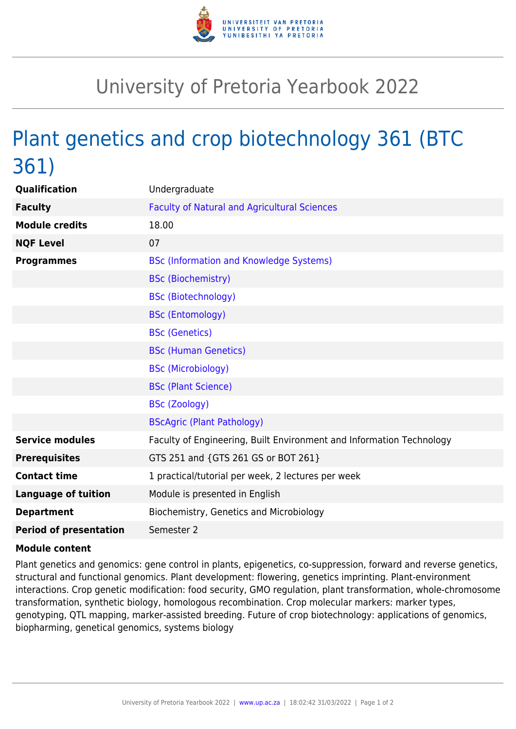

## University of Pretoria Yearbook 2022

## Plant genetics and crop biotechnology 361 (BTC 361)

| Qualification                 | Undergraduate                                                        |
|-------------------------------|----------------------------------------------------------------------|
| <b>Faculty</b>                | <b>Faculty of Natural and Agricultural Sciences</b>                  |
| <b>Module credits</b>         | 18.00                                                                |
| <b>NQF Level</b>              | 07                                                                   |
| <b>Programmes</b>             | <b>BSc (Information and Knowledge Systems)</b>                       |
|                               | <b>BSc (Biochemistry)</b>                                            |
|                               | <b>BSc (Biotechnology)</b>                                           |
|                               | <b>BSc (Entomology)</b>                                              |
|                               | <b>BSc (Genetics)</b>                                                |
|                               | <b>BSc (Human Genetics)</b>                                          |
|                               | <b>BSc (Microbiology)</b>                                            |
|                               | <b>BSc (Plant Science)</b>                                           |
|                               | <b>BSc (Zoology)</b>                                                 |
|                               | <b>BScAgric (Plant Pathology)</b>                                    |
| <b>Service modules</b>        | Faculty of Engineering, Built Environment and Information Technology |
| <b>Prerequisites</b>          | GTS 251 and {GTS 261 GS or BOT 261}                                  |
| <b>Contact time</b>           | 1 practical/tutorial per week, 2 lectures per week                   |
| <b>Language of tuition</b>    | Module is presented in English                                       |
| <b>Department</b>             | Biochemistry, Genetics and Microbiology                              |
| <b>Period of presentation</b> | Semester 2                                                           |

## **Module content**

Plant genetics and genomics: gene control in plants, epigenetics, co-suppression, forward and reverse genetics, structural and functional genomics. Plant development: flowering, genetics imprinting. Plant-environment interactions. Crop genetic modification: food security, GMO regulation, plant transformation, whole-chromosome transformation, synthetic biology, homologous recombination. Crop molecular markers: marker types, genotyping, QTL mapping, marker-assisted breeding. Future of crop biotechnology: applications of genomics, biopharming, genetical genomics, systems biology